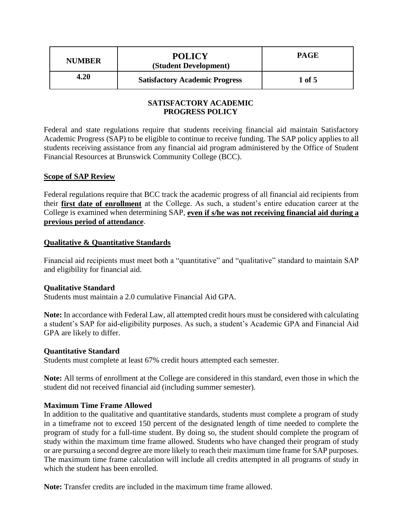| <b>NUMBER</b> | <b>POLICY</b><br>(Student Development) | PAGE   |
|---------------|----------------------------------------|--------|
| 4.20          | <b>Satisfactory Academic Progress</b>  | 1 of 5 |

# **SATISFACTORY ACADEMIC PROGRESS POLICY**

Federal and state regulations require that students receiving financial aid maintain Satisfactory Academic Progress (SAP) to be eligible to continue to receive funding. The SAP policy applies to all students receiving assistance from any financial aid program administered by the Office of Student Financial Resources at Brunswick Community College (BCC).

### **Scope of SAP Review**

Federal regulations require that BCC track the academic progress of all financial aid recipients from their **first date of enrollment** at the College. As such, a student's entire education career at the College is examined when determining SAP, **even if s/he was not receiving financial aid during a previous period of attendance**.

### **Qualitative & Quantitative Standards**

Financial aid recipients must meet both a "quantitative" and "qualitative" standard to maintain SAP and eligibility for financial aid.

# **Qualitative Standard**

Students must maintain a 2.0 cumulative Financial Aid GPA.

**Note:** In accordance with Federal Law, all attempted credit hours must be considered with calculating a student's SAP for aid-eligibility purposes. As such, a student's Academic GPA and Financial Aid GPA are likely to differ.

#### **Quantitative Standard**

Students must complete at least 67% credit hours attempted each semester.

**Note:** All terms of enrollment at the College are considered in this standard, even those in which the student did not received financial aid (including summer semester).

### **Maximum Time Frame Allowed**

In addition to the qualitative and quantitative standards, students must complete a program of study in a timeframe not to exceed 150 percent of the designated length of time needed to complete the program of study for a full-time student. By doing so, the student should complete the program of study within the maximum time frame allowed. Students who have changed their program of study or are pursuing a second degree are more likely to reach their maximum time frame for SAP purposes. The maximum time frame calculation will include all credits attempted in all programs of study in which the student has been enrolled.

**Note:** Transfer credits are included in the maximum time frame allowed.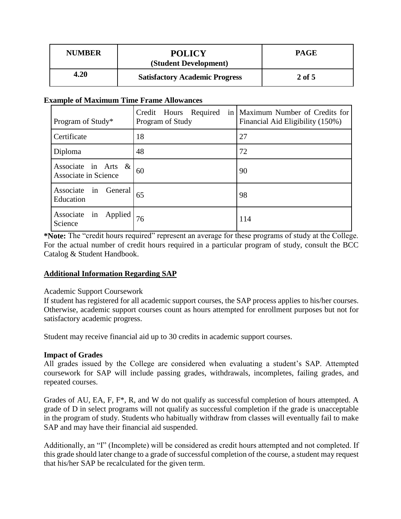| <b>NUMBER</b> | <b>POLICY</b><br>(Student Development) | PAGE     |
|---------------|----------------------------------------|----------|
| 4.20          | <b>Satisfactory Academic Progress</b>  | $2$ of 5 |

#### **Example of Maximum Time Frame Allowances**

| Program of Study*                              | Credit Hours Required<br>Program of Study | in   Maximum Number of Credits for<br>Financial Aid Eligibility (150%) |
|------------------------------------------------|-------------------------------------------|------------------------------------------------------------------------|
| Certificate                                    | 18                                        | 27                                                                     |
| Diploma                                        | 48                                        | 72                                                                     |
| Associate in Arts $\&$<br>Associate in Science | 60                                        | 90                                                                     |
| in General<br>Associate<br>Education           | 65                                        | 98                                                                     |
| Associate<br>in Applied<br>Science             | 76                                        | 114                                                                    |

**\*Note:** The "credit hours required" represent an average for these programs of study at the College. For the actual number of credit hours required in a particular program of study, consult the BCC Catalog & Student Handbook.

# **Additional Information Regarding SAP**

# Academic Support Coursework

If student has registered for all academic support courses, the SAP process applies to his/her courses. Otherwise, academic support courses count as hours attempted for enrollment purposes but not for satisfactory academic progress.

Student may receive financial aid up to 30 credits in academic support courses.

# **Impact of Grades**

All grades issued by the College are considered when evaluating a student's SAP. Attempted coursework for SAP will include passing grades, withdrawals, incompletes, failing grades, and repeated courses.

Grades of AU, EA, F, F\*, R, and W do not qualify as successful completion of hours attempted. A grade of D in select programs will not qualify as successful completion if the grade is unacceptable in the program of study. Students who habitually withdraw from classes will eventually fail to make SAP and may have their financial aid suspended.

Additionally, an "I" (Incomplete) will be considered as credit hours attempted and not completed. If this grade should later change to a grade of successful completion of the course, a student may request that his/her SAP be recalculated for the given term.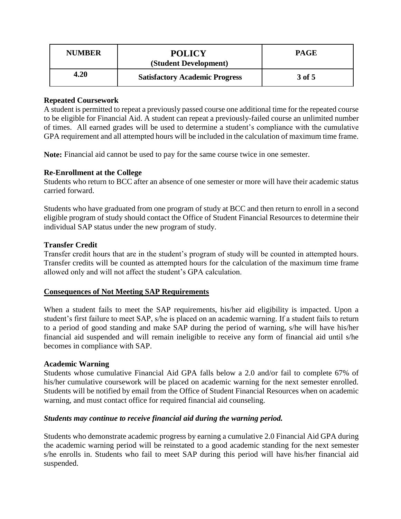| <b>NUMBER</b> | <b>POLICY</b><br>(Student Development) | PAGE   |
|---------------|----------------------------------------|--------|
| 4.20          | <b>Satisfactory Academic Progress</b>  | 3 of 5 |

### **Repeated Coursework**

A student is permitted to repeat a previously passed course one additional time for the repeated course to be eligible for Financial Aid. A student can repeat a previously-failed course an unlimited number of times. All earned grades will be used to determine a student's compliance with the cumulative GPA requirement and all attempted hours will be included in the calculation of maximum time frame.

**Note:** Financial aid cannot be used to pay for the same course twice in one semester.

### **Re-Enrollment at the College**

Students who return to BCC after an absence of one semester or more will have their academic status carried forward.

Students who have graduated from one program of study at BCC and then return to enroll in a second eligible program of study should contact the Office of Student Financial Resources to determine their individual SAP status under the new program of study.

### **Transfer Credit**

Transfer credit hours that are in the student's program of study will be counted in attempted hours. Transfer credits will be counted as attempted hours for the calculation of the maximum time frame allowed only and will not affect the student's GPA calculation.

# **Consequences of Not Meeting SAP Requirements**

When a student fails to meet the SAP requirements, his/her aid eligibility is impacted. Upon a student's first failure to meet SAP, s/he is placed on an academic warning. If a student fails to return to a period of good standing and make SAP during the period of warning, s/he will have his/her financial aid suspended and will remain ineligible to receive any form of financial aid until s/he becomes in compliance with SAP.

# **Academic Warning**

Students whose cumulative Financial Aid GPA falls below a 2.0 and/or fail to complete 67% of his/her cumulative coursework will be placed on academic warning for the next semester enrolled. Students will be notified by email from the Office of Student Financial Resources when on academic warning, and must contact office for required financial aid counseling.

#### *Students may continue to receive financial aid during the warning period.*

Students who demonstrate academic progress by earning a cumulative 2.0 Financial Aid GPA during the academic warning period will be reinstated to a good academic standing for the next semester s/he enrolls in. Students who fail to meet SAP during this period will have his/her financial aid suspended.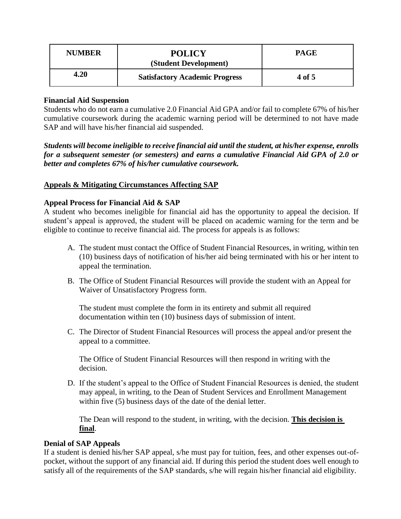| <b>NUMBER</b> | <b>POLICY</b><br>(Student Development) | <b>PAGE</b> |
|---------------|----------------------------------------|-------------|
| 4.20          | <b>Satisfactory Academic Progress</b>  | 4 of 5      |

### **Financial Aid Suspension**

Students who do not earn a cumulative 2.0 Financial Aid GPA and/or fail to complete 67% of his/her cumulative coursework during the academic warning period will be determined to not have made SAP and will have his/her financial aid suspended.

*Students will become ineligible to receive financial aid until the student, at his/her expense, enrolls for a subsequent semester (or semesters) and earns a cumulative Financial Aid GPA of 2.0 or better and completes 67% of his/her cumulative coursework.*

### **Appeals & Mitigating Circumstances Affecting SAP**

#### **Appeal Process for Financial Aid & SAP**

A student who becomes ineligible for financial aid has the opportunity to appeal the decision. If student's appeal is approved, the student will be placed on academic warning for the term and be eligible to continue to receive financial aid. The process for appeals is as follows:

- A. The student must contact the Office of Student Financial Resources, in writing, within ten (10) business days of notification of his/her aid being terminated with his or her intent to appeal the termination.
- B. The Office of Student Financial Resources will provide the student with an Appeal for Waiver of Unsatisfactory Progress form.

The student must complete the form in its entirety and submit all required documentation within ten (10) business days of submission of intent.

C. The Director of Student Financial Resources will process the appeal and/or present the appeal to a committee.

The Office of Student Financial Resources will then respond in writing with the decision.

D. If the student's appeal to the Office of Student Financial Resources is denied, the student may appeal, in writing, to the Dean of Student Services and Enrollment Management within five (5) business days of the date of the denial letter.

The Dean will respond to the student, in writing, with the decision. **This decision is final**.

#### **Denial of SAP Appeals**

If a student is denied his/her SAP appeal, s/he must pay for tuition, fees, and other expenses out-ofpocket, without the support of any financial aid. If during this period the student does well enough to satisfy all of the requirements of the SAP standards, s/he will regain his/her financial aid eligibility.